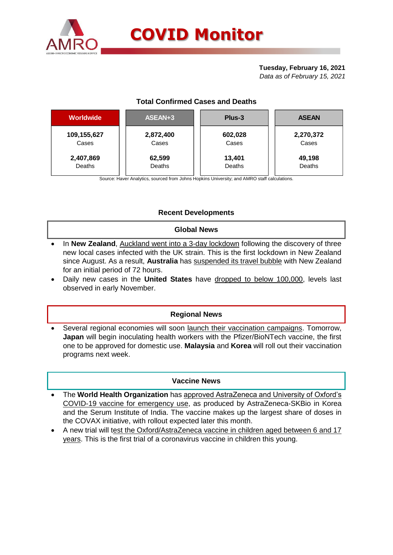

## **Tuesday, February 16, 2021**

*Data as of February 15, 2021*

# **Total Confirmed Cases and Deaths**

| <b>Worldwide</b> | ASEAN+3   | Plus-3  | <b>ASEAN</b> |  |  |
|------------------|-----------|---------|--------------|--|--|
| 109,155,627      | 2,872,400 | 602,028 | 2,270,372    |  |  |
| Cases            | Cases     | Cases   | Cases        |  |  |
| 2,407,869        | 62,599    | 13,401  | 49,198       |  |  |
| Deaths           | Deaths    | Deaths  | Deaths       |  |  |

Source: Haver Analytics, sourced from Johns Hopkins University; and AMRO staff calculations.

## **Recent Developments**

### **Global News**

- In **New Zealand**, Auckland went into a 3-day lockdown following the discovery of three new local cases infected with the UK strain. This is the first lockdown in New Zealand since August. As a result, **Australia** has suspended its travel bubble with New Zealand for an initial period of 72 hours.
- Daily new cases in the **United States** have dropped to below 100,000, levels last observed in early November.

### **Regional News**

Several regional economies will soon launch their vaccination campaigns. Tomorrow, **Japan** will begin inoculating health workers with the Pfizer/BioNTech vaccine, the first one to be approved for domestic use. **Malaysia** and **Korea** will roll out their vaccination programs next week.

### **Vaccine News**

- The **World Health Organization** has approved AstraZeneca and University of Oxford's COVID-19 vaccine for emergency use, as produced by AstraZeneca-SKBio in Korea and the Serum Institute of India. The vaccine makes up the largest share of doses in the COVAX initiative, with rollout expected later this month.
- A new trial will test the Oxford/AstraZeneca vaccine in children aged between 6 and 17 years. This is the first trial of a coronavirus vaccine in children this young.